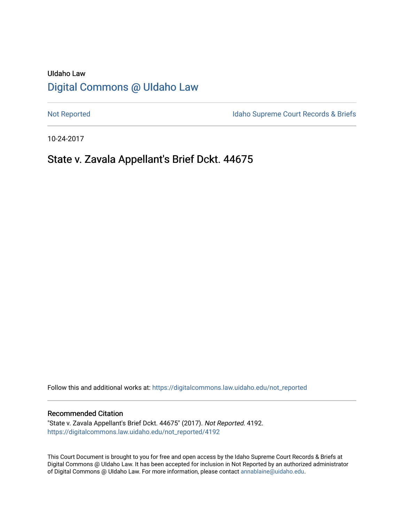# UIdaho Law [Digital Commons @ UIdaho Law](https://digitalcommons.law.uidaho.edu/)

[Not Reported](https://digitalcommons.law.uidaho.edu/not_reported) **Idaho Supreme Court Records & Briefs** 

10-24-2017

# State v. Zavala Appellant's Brief Dckt. 44675

Follow this and additional works at: [https://digitalcommons.law.uidaho.edu/not\\_reported](https://digitalcommons.law.uidaho.edu/not_reported?utm_source=digitalcommons.law.uidaho.edu%2Fnot_reported%2F4192&utm_medium=PDF&utm_campaign=PDFCoverPages) 

#### Recommended Citation

"State v. Zavala Appellant's Brief Dckt. 44675" (2017). Not Reported. 4192. [https://digitalcommons.law.uidaho.edu/not\\_reported/4192](https://digitalcommons.law.uidaho.edu/not_reported/4192?utm_source=digitalcommons.law.uidaho.edu%2Fnot_reported%2F4192&utm_medium=PDF&utm_campaign=PDFCoverPages)

This Court Document is brought to you for free and open access by the Idaho Supreme Court Records & Briefs at Digital Commons @ UIdaho Law. It has been accepted for inclusion in Not Reported by an authorized administrator of Digital Commons @ UIdaho Law. For more information, please contact [annablaine@uidaho.edu](mailto:annablaine@uidaho.edu).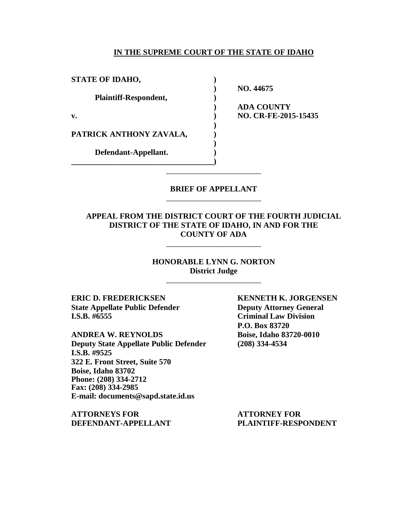#### **IN THE SUPREME COURT OF THE STATE OF IDAHO**

| <b>STATE OF IDAHO,</b>       |              |
|------------------------------|--------------|
|                              | <b>NO.44</b> |
| <b>Plaintiff-Respondent,</b> |              |
|                              | ADA C        |
| v.                           | NO. CI       |
|                              |              |
| PATRICK ANTHONY ZAVALA,      |              |
|                              |              |
| Defendant-Appellant.         |              |
|                              |              |
|                              |              |

**) NO. 44675 ) ADA COUNTY v. ) NO. CR-FE-2015-15435**

### **BRIEF OF APPELLANT** \_\_\_\_\_\_\_\_\_\_\_\_\_\_\_\_\_\_\_\_\_\_\_\_

### **APPEAL FROM THE DISTRICT COURT OF THE FOURTH JUDICIAL DISTRICT OF THE STATE OF IDAHO, IN AND FOR THE COUNTY OF ADA**

\_\_\_\_\_\_\_\_\_\_\_\_\_\_\_\_\_\_\_\_\_\_\_\_

**HONORABLE LYNN G. NORTON District Judge** \_\_\_\_\_\_\_\_\_\_\_\_\_\_\_\_\_\_\_\_\_\_\_\_

**ERIC D. FREDERICKSEN KENNETH K. JORGENSEN State Appellate Public Defender Deputy Attorney General I.S.B. #6555 Criminal Law Division**

**ANDREA W. REYNOLDS Boise, Idaho 83720-0010 Deputy State Appellate Public Defender (208) 334-4534 I.S.B. #9525 322 E. Front Street, Suite 570 Boise, Idaho 83702 Phone: (208) 334-2712 Fax: (208) 334-2985 E-mail: documents@sapd.state.id.us**

**ATTORNEYS FOR ATTORNEY FOR DEFENDANT-APPELLANT PLAINTIFF-RESPONDENT**

**P.O. Box 83720**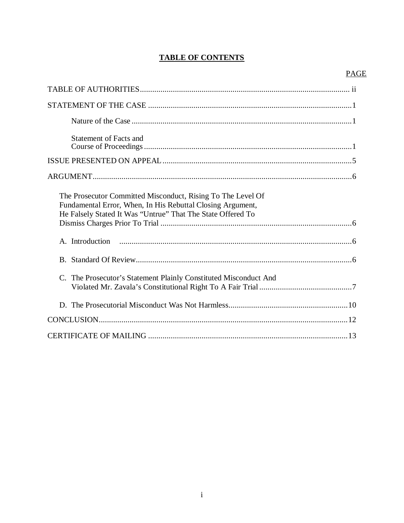# **TABLE OF CONTENTS**

# **PAGE**

| <b>Statement of Facts and</b>                                                                                                                                                            |
|------------------------------------------------------------------------------------------------------------------------------------------------------------------------------------------|
|                                                                                                                                                                                          |
|                                                                                                                                                                                          |
| The Prosecutor Committed Misconduct, Rising To The Level Of<br>Fundamental Error, When, In His Rebuttal Closing Argument,<br>He Falsely Stated It Was "Untrue" That The State Offered To |
|                                                                                                                                                                                          |
|                                                                                                                                                                                          |
| C. The Prosecutor's Statement Plainly Constituted Misconduct And                                                                                                                         |
|                                                                                                                                                                                          |
|                                                                                                                                                                                          |
|                                                                                                                                                                                          |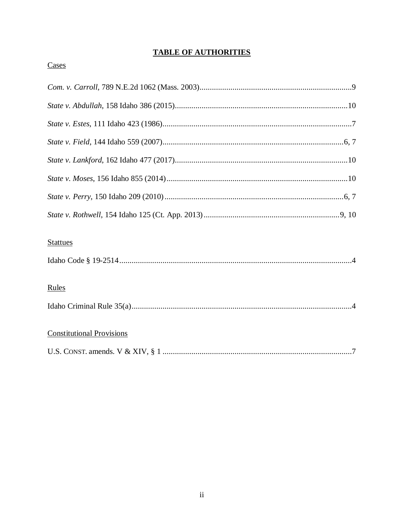# **TABLE OF AUTHORITIES**

# Cases

| <b>Stattues</b>                  |
|----------------------------------|
|                                  |
| Rules                            |
|                                  |
| <b>Constitutional Provisions</b> |
|                                  |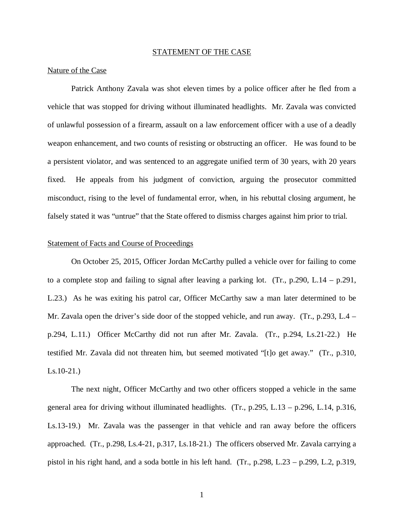#### STATEMENT OF THE CASE

#### Nature of the Case

Patrick Anthony Zavala was shot eleven times by a police officer after he fled from a vehicle that was stopped for driving without illuminated headlights. Mr. Zavala was convicted of unlawful possession of a firearm, assault on a law enforcement officer with a use of a deadly weapon enhancement, and two counts of resisting or obstructing an officer. He was found to be a persistent violator, and was sentenced to an aggregate unified term of 30 years, with 20 years fixed. He appeals from his judgment of conviction, arguing the prosecutor committed misconduct, rising to the level of fundamental error, when, in his rebuttal closing argument, he falsely stated it was "untrue" that the State offered to dismiss charges against him prior to trial.

#### Statement of Facts and Course of Proceedings

On October 25, 2015, Officer Jordan McCarthy pulled a vehicle over for failing to come to a complete stop and failing to signal after leaving a parking lot. (Tr., p.290, L.14 – p.291, L.23.) As he was exiting his patrol car, Officer McCarthy saw a man later determined to be Mr. Zavala open the driver's side door of the stopped vehicle, and run away. (Tr., p.293, L.4 – p.294, L.11.) Officer McCarthy did not run after Mr. Zavala. (Tr., p.294, Ls.21-22.) He testified Mr. Zavala did not threaten him, but seemed motivated "[t]o get away." (Tr., p.310, Ls.10-21.)

The next night, Officer McCarthy and two other officers stopped a vehicle in the same general area for driving without illuminated headlights. (Tr., p.295, L.13 – p.296, L.14, p.316, Ls.13-19.) Mr. Zavala was the passenger in that vehicle and ran away before the officers approached. (Tr., p.298, Ls.4-21, p.317, Ls.18-21.) The officers observed Mr. Zavala carrying a pistol in his right hand, and a soda bottle in his left hand. (Tr., p.298, L.23 – p.299, L.2, p.319,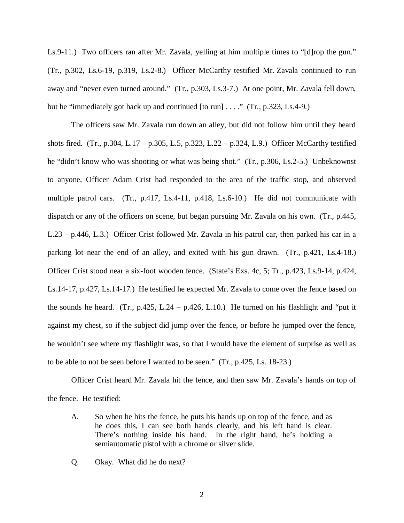Ls.9-11.) Two officers ran after Mr. Zavala, yelling at him multiple times to "[d]rop the gun." (Tr., p.302, Ls.6-19, p.319, Ls.2-8.) Officer McCarthy testified Mr. Zavala continued to run away and "never even turned around." (Tr., p.303, Ls.3-7.) At one point, Mr. Zavala fell down, but he "immediately got back up and continued  $[$  to run $] \ldots$ ." (Tr., p.323, Ls.4-9.)

The officers saw Mr. Zavala run down an alley, but did not follow him until they heard shots fired. (Tr., p.304, L.17 – p.305, L.5, p.323, L.22 – p.324, L.9.) Officer McCarthy testified he "didn't know who was shooting or what was being shot." (Tr., p.306, Ls.2-5.) Unbeknownst to anyone, Officer Adam Crist had responded to the area of the traffic stop, and observed multiple patrol cars. (Tr., p.417, Ls.4-11, p.418, Ls.6-10.) He did not communicate with dispatch or any of the officers on scene, but began pursuing Mr. Zavala on his own. (Tr., p.445, L.23 – p.446, L.3.) Officer Crist followed Mr. Zavala in his patrol car, then parked his car in a parking lot near the end of an alley, and exited with his gun drawn. (Tr., p.421, Ls.4-18.) Officer Crist stood near a six-foot wooden fence. (State's Exs. 4c, 5; Tr., p.423, Ls.9-14, p.424, Ls.14-17, p.427, Ls.14-17.) He testified he expected Mr. Zavala to come over the fence based on the sounds he heard. (Tr., p.425, L.24 – p.426, L.10.) He turned on his flashlight and "put it against my chest, so if the subject did jump over the fence, or before he jumped over the fence, he wouldn't see where my flashlight was, so that I would have the element of surprise as well as to be able to not be seen before I wanted to be seen." (Tr., p.425, Ls. 18-23.)

Officer Crist heard Mr. Zavala hit the fence, and then saw Mr. Zavala's hands on top of the fence. He testified:

- A. So when he hits the fence, he puts his hands up on top of the fence, and as he does this, I can see both hands clearly, and his left hand is clear. There's nothing inside his hand. In the right hand, he's holding a semiautomatic pistol with a chrome or silver slide.
- Q. Okay. What did he do next?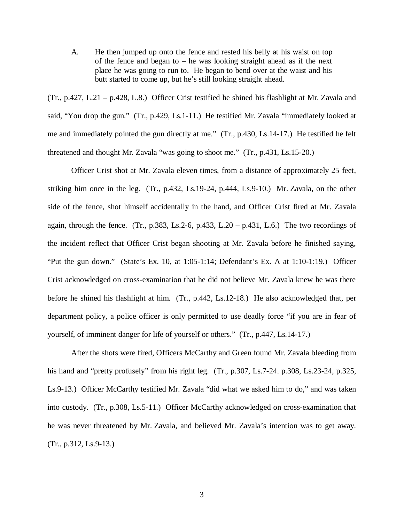A. He then jumped up onto the fence and rested his belly at his waist on top of the fence and began to – he was looking straight ahead as if the next place he was going to run to. He began to bend over at the waist and his butt started to come up, but he's still looking straight ahead.

(Tr., p.427, L.21 – p.428, L.8.) Officer Crist testified he shined his flashlight at Mr. Zavala and said, "You drop the gun." (Tr., p.429, Ls.1-11.) He testified Mr. Zavala "immediately looked at me and immediately pointed the gun directly at me." (Tr., p.430, Ls.14-17.) He testified he felt threatened and thought Mr. Zavala "was going to shoot me." (Tr., p.431, Ls.15-20.)

Officer Crist shot at Mr. Zavala eleven times, from a distance of approximately 25 feet, striking him once in the leg. (Tr., p.432, Ls.19-24, p.444, Ls.9-10.) Mr. Zavala, on the other side of the fence, shot himself accidentally in the hand, and Officer Crist fired at Mr. Zavala again, through the fence. (Tr., p.383, Ls.2-6, p.433, L.20 – p.431, L.6.) The two recordings of the incident reflect that Officer Crist began shooting at Mr. Zavala before he finished saying, "Put the gun down." (State's Ex. 10, at 1:05-1:14; Defendant's Ex. A at 1:10-1:19.) Officer Crist acknowledged on cross-examination that he did not believe Mr. Zavala knew he was there before he shined his flashlight at him. (Tr., p.442, Ls.12-18.) He also acknowledged that, per department policy, a police officer is only permitted to use deadly force "if you are in fear of yourself, of imminent danger for life of yourself or others." (Tr., p.447, Ls.14-17.)

After the shots were fired, Officers McCarthy and Green found Mr. Zavala bleeding from his hand and "pretty profusely" from his right leg. (Tr., p.307, Ls.7-24. p.308, Ls.23-24, p.325, Ls.9-13.) Officer McCarthy testified Mr. Zavala "did what we asked him to do," and was taken into custody. (Tr., p.308, Ls.5-11.) Officer McCarthy acknowledged on cross-examination that he was never threatened by Mr. Zavala, and believed Mr. Zavala's intention was to get away. (Tr., p.312, Ls.9-13.)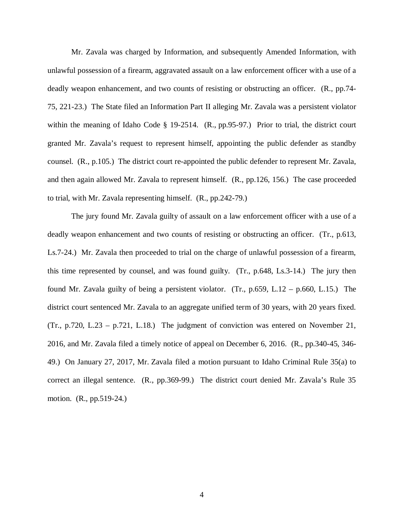Mr. Zavala was charged by Information, and subsequently Amended Information, with unlawful possession of a firearm, aggravated assault on a law enforcement officer with a use of a deadly weapon enhancement, and two counts of resisting or obstructing an officer. (R., pp.74- 75, 221-23.) The State filed an Information Part II alleging Mr. Zavala was a persistent violator within the meaning of Idaho Code § 19-2514. (R., pp.95-97.) Prior to trial, the district court granted Mr. Zavala's request to represent himself, appointing the public defender as standby counsel. (R., p.105.) The district court re-appointed the public defender to represent Mr. Zavala, and then again allowed Mr. Zavala to represent himself. (R., pp.126, 156.) The case proceeded to trial, with Mr. Zavala representing himself. (R., pp.242-79.)

The jury found Mr. Zavala guilty of assault on a law enforcement officer with a use of a deadly weapon enhancement and two counts of resisting or obstructing an officer. (Tr., p.613, Ls.7-24.) Mr. Zavala then proceeded to trial on the charge of unlawful possession of a firearm, this time represented by counsel, and was found guilty. (Tr., p.648, Ls.3-14.) The jury then found Mr. Zavala guilty of being a persistent violator. (Tr.,  $p.659$ , L.12 –  $p.660$ , L.15.) The district court sentenced Mr. Zavala to an aggregate unified term of 30 years, with 20 years fixed. (Tr., p.720, L.23 – p.721, L.18.) The judgment of conviction was entered on November 21, 2016, and Mr. Zavala filed a timely notice of appeal on December 6, 2016. (R., pp.340-45, 346- 49.) On January 27, 2017, Mr. Zavala filed a motion pursuant to Idaho Criminal Rule 35(a) to correct an illegal sentence. (R., pp.369-99.) The district court denied Mr. Zavala's Rule 35 motion. (R., pp.519-24.)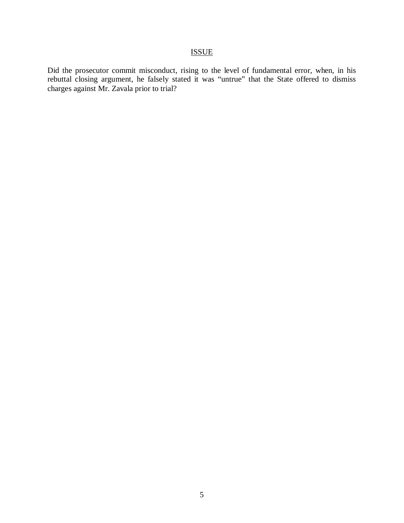# ISSUE

Did the prosecutor commit misconduct, rising to the level of fundamental error, when, in his rebuttal closing argument, he falsely stated it was "untrue" that the State offered to dismiss charges against Mr. Zavala prior to trial?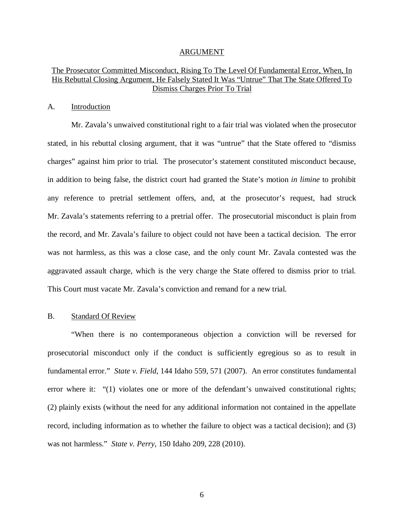#### ARGUMENT

## The Prosecutor Committed Misconduct, Rising To The Level Of Fundamental Error, When, In His Rebuttal Closing Argument, He Falsely Stated It Was "Untrue" That The State Offered To Dismiss Charges Prior To Trial

#### A. Introduction

Mr. Zavala's unwaived constitutional right to a fair trial was violated when the prosecutor stated, in his rebuttal closing argument, that it was "untrue" that the State offered to "dismiss charges" against him prior to trial. The prosecutor's statement constituted misconduct because, in addition to being false, the district court had granted the State's motion *in limine* to prohibit any reference to pretrial settlement offers, and, at the prosecutor's request, had struck Mr. Zavala's statements referring to a pretrial offer. The prosecutorial misconduct is plain from the record, and Mr. Zavala's failure to object could not have been a tactical decision. The error was not harmless, as this was a close case, and the only count Mr. Zavala contested was the aggravated assault charge, which is the very charge the State offered to dismiss prior to trial. This Court must vacate Mr. Zavala's conviction and remand for a new trial.

#### B. Standard Of Review

"When there is no contemporaneous objection a conviction will be reversed for prosecutorial misconduct only if the conduct is sufficiently egregious so as to result in fundamental error." *State v. Field*, 144 Idaho 559, 571 (2007). An error constitutes fundamental error where it: "(1) violates one or more of the defendant's unwaived constitutional rights; (2) plainly exists (without the need for any additional information not contained in the appellate record, including information as to whether the failure to object was a tactical decision); and (3) was not harmless." *State v. Perry*, 150 Idaho 209, 228 (2010).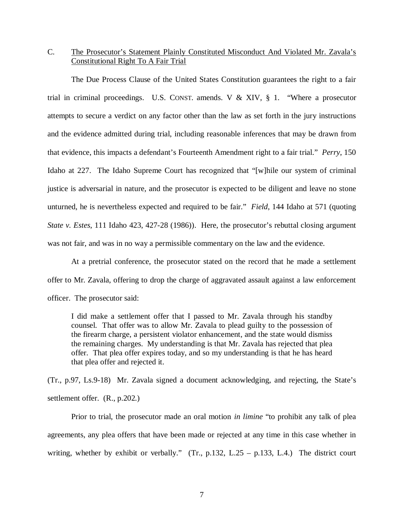# C. The Prosecutor's Statement Plainly Constituted Misconduct And Violated Mr. Zavala's Constitutional Right To A Fair Trial

The Due Process Clause of the United States Constitution guarantees the right to a fair trial in criminal proceedings. U.S. CONST. amends. V & XIV, § 1. "Where a prosecutor attempts to secure a verdict on any factor other than the law as set forth in the jury instructions and the evidence admitted during trial, including reasonable inferences that may be drawn from that evidence, this impacts a defendant's Fourteenth Amendment right to a fair trial." *Perry*, 150 Idaho at 227. The Idaho Supreme Court has recognized that "[w]hile our system of criminal justice is adversarial in nature, and the prosecutor is expected to be diligent and leave no stone unturned, he is nevertheless expected and required to be fair." *Field*, 144 Idaho at 571 (quoting *State v. Estes*, 111 Idaho 423, 427-28 (1986)). Here, the prosecutor's rebuttal closing argument was not fair, and was in no way a permissible commentary on the law and the evidence.

At a pretrial conference, the prosecutor stated on the record that he made a settlement offer to Mr. Zavala, offering to drop the charge of aggravated assault against a law enforcement officer. The prosecutor said:

I did make a settlement offer that I passed to Mr. Zavala through his standby counsel. That offer was to allow Mr. Zavala to plead guilty to the possession of the firearm charge, a persistent violator enhancement, and the state would dismiss the remaining charges. My understanding is that Mr. Zavala has rejected that plea offer. That plea offer expires today, and so my understanding is that he has heard that plea offer and rejected it.

(Tr., p.97, Ls.9-18) Mr. Zavala signed a document acknowledging, and rejecting, the State's settlement offer. (R., p.202.)

Prior to trial, the prosecutor made an oral motion *in limine* "to prohibit any talk of plea agreements, any plea offers that have been made or rejected at any time in this case whether in writing, whether by exhibit or verbally." (Tr., p.132, L.25 – p.133, L.4.) The district court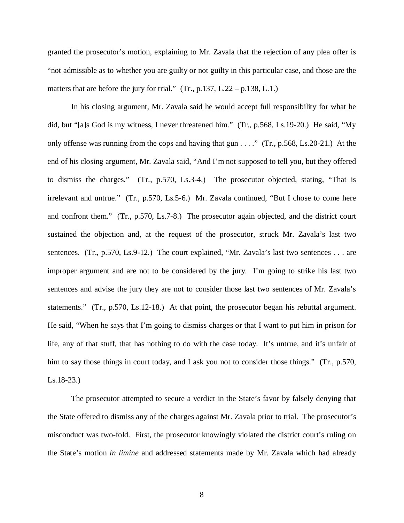granted the prosecutor's motion, explaining to Mr. Zavala that the rejection of any plea offer is "not admissible as to whether you are guilty or not guilty in this particular case, and those are the matters that are before the jury for trial."  $(Tr, p.137, L.22 - p.138, L.1.)$ 

In his closing argument, Mr. Zavala said he would accept full responsibility for what he did, but "[a]s God is my witness, I never threatened him." (Tr., p.568, Ls.19-20.) He said, "My only offense was running from the cops and having that gun . . . ." (Tr., p.568, Ls.20-21.) At the end of his closing argument, Mr. Zavala said, "And I'm not supposed to tell you, but they offered to dismiss the charges." (Tr., p.570, Ls.3-4.) The prosecutor objected, stating, "That is irrelevant and untrue." (Tr., p.570, Ls.5-6.) Mr. Zavala continued, "But I chose to come here and confront them." (Tr., p.570, Ls.7-8.) The prosecutor again objected, and the district court sustained the objection and, at the request of the prosecutor, struck Mr. Zavala's last two sentences. (Tr., p.570, Ls.9-12.) The court explained, "Mr. Zavala's last two sentences . . . are improper argument and are not to be considered by the jury. I'm going to strike his last two sentences and advise the jury they are not to consider those last two sentences of Mr. Zavala's statements." (Tr., p.570, Ls.12-18.) At that point, the prosecutor began his rebuttal argument. He said, "When he says that I'm going to dismiss charges or that I want to put him in prison for life, any of that stuff, that has nothing to do with the case today. It's untrue, and it's unfair of him to say those things in court today, and I ask you not to consider those things." (Tr., p.570, Ls.18-23.)

The prosecutor attempted to secure a verdict in the State's favor by falsely denying that the State offered to dismiss any of the charges against Mr. Zavala prior to trial. The prosecutor's misconduct was two-fold. First, the prosecutor knowingly violated the district court's ruling on the State's motion *in limine* and addressed statements made by Mr. Zavala which had already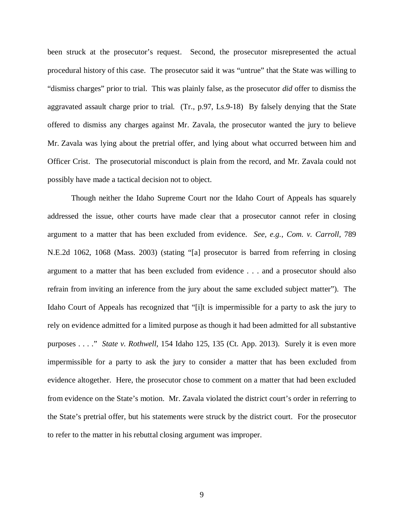been struck at the prosecutor's request. Second, the prosecutor misrepresented the actual procedural history of this case. The prosecutor said it was "untrue" that the State was willing to "dismiss charges" prior to trial. This was plainly false, as the prosecutor *did* offer to dismiss the aggravated assault charge prior to trial. (Tr., p.97, Ls.9-18) By falsely denying that the State offered to dismiss any charges against Mr. Zavala, the prosecutor wanted the jury to believe Mr. Zavala was lying about the pretrial offer, and lying about what occurred between him and Officer Crist. The prosecutorial misconduct is plain from the record, and Mr. Zavala could not possibly have made a tactical decision not to object.

Though neither the Idaho Supreme Court nor the Idaho Court of Appeals has squarely addressed the issue, other courts have made clear that a prosecutor cannot refer in closing argument to a matter that has been excluded from evidence. *See, e.g.*, *Com. v. Carroll*, 789 N.E.2d 1062, 1068 (Mass. 2003) (stating "[a] prosecutor is barred from referring in closing argument to a matter that has been excluded from evidence . . . and a prosecutor should also refrain from inviting an inference from the jury about the same excluded subject matter"). The Idaho Court of Appeals has recognized that "[i]t is impermissible for a party to ask the jury to rely on evidence admitted for a limited purpose as though it had been admitted for all substantive purposes . . . ." *State v. Rothwell*, 154 Idaho 125, 135 (Ct. App. 2013). Surely it is even more impermissible for a party to ask the jury to consider a matter that has been excluded from evidence altogether. Here, the prosecutor chose to comment on a matter that had been excluded from evidence on the State's motion. Mr. Zavala violated the district court's order in referring to the State's pretrial offer, but his statements were struck by the district court. For the prosecutor to refer to the matter in his rebuttal closing argument was improper.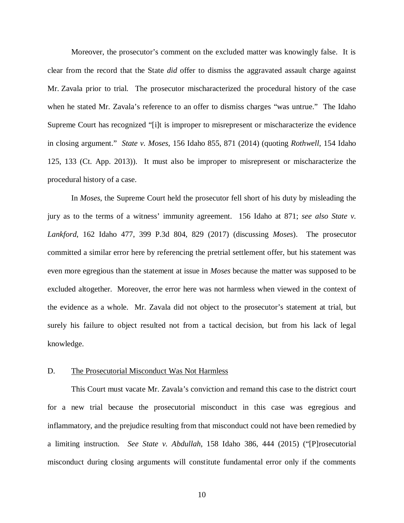Moreover, the prosecutor's comment on the excluded matter was knowingly false. It is clear from the record that the State *did* offer to dismiss the aggravated assault charge against Mr. Zavala prior to trial. The prosecutor mischaracterized the procedural history of the case when he stated Mr. Zavala's reference to an offer to dismiss charges "was untrue." The Idaho Supreme Court has recognized "[i]t is improper to misrepresent or mischaracterize the evidence in closing argument." *State v. Moses*, 156 Idaho 855, 871 (2014) (quoting *Rothwell*, 154 Idaho 125, 133 (Ct. App. 2013)). It must also be improper to misrepresent or mischaracterize the procedural history of a case.

In *Moses*, the Supreme Court held the prosecutor fell short of his duty by misleading the jury as to the terms of a witness' immunity agreement. 156 Idaho at 871; *see also State v. Lankford*, 162 Idaho 477, 399 P.3d 804, 829 (2017) (discussing *Moses*). The prosecutor committed a similar error here by referencing the pretrial settlement offer, but his statement was even more egregious than the statement at issue in *Moses* because the matter was supposed to be excluded altogether. Moreover, the error here was not harmless when viewed in the context of the evidence as a whole. Mr. Zavala did not object to the prosecutor's statement at trial, but surely his failure to object resulted not from a tactical decision, but from his lack of legal knowledge.

#### D. The Prosecutorial Misconduct Was Not Harmless

This Court must vacate Mr. Zavala's conviction and remand this case to the district court for a new trial because the prosecutorial misconduct in this case was egregious and inflammatory, and the prejudice resulting from that misconduct could not have been remedied by a limiting instruction. *See State v. Abdullah*, 158 Idaho 386, 444 (2015) ("[P]rosecutorial misconduct during closing arguments will constitute fundamental error only if the comments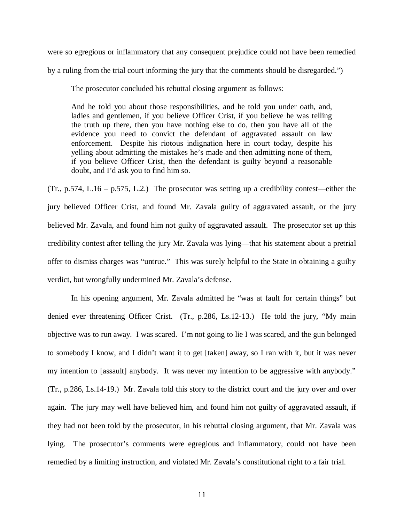were so egregious or inflammatory that any consequent prejudice could not have been remedied by a ruling from the trial court informing the jury that the comments should be disregarded.")

The prosecutor concluded his rebuttal closing argument as follows:

And he told you about those responsibilities, and he told you under oath, and, ladies and gentlemen, if you believe Officer Crist, if you believe he was telling the truth up there, then you have nothing else to do, then you have all of the evidence you need to convict the defendant of aggravated assault on law enforcement. Despite his riotous indignation here in court today, despite his yelling about admitting the mistakes he's made and then admitting none of them, if you believe Officer Crist, then the defendant is guilty beyond a reasonable doubt, and I'd ask you to find him so.

(Tr., p.574, L.16 – p.575, L.2.) The prosecutor was setting up a credibility contest—either the jury believed Officer Crist, and found Mr. Zavala guilty of aggravated assault, or the jury believed Mr. Zavala, and found him not guilty of aggravated assault. The prosecutor set up this credibility contest after telling the jury Mr. Zavala was lying—that his statement about a pretrial offer to dismiss charges was "untrue." This was surely helpful to the State in obtaining a guilty verdict, but wrongfully undermined Mr. Zavala's defense.

In his opening argument, Mr. Zavala admitted he "was at fault for certain things" but denied ever threatening Officer Crist. (Tr., p.286, Ls.12-13.) He told the jury, "My main objective was to run away. I was scared. I'm not going to lie I was scared, and the gun belonged to somebody I know, and I didn't want it to get [taken] away, so I ran with it, but it was never my intention to [assault] anybody. It was never my intention to be aggressive with anybody." (Tr., p.286, Ls.14-19.) Mr. Zavala told this story to the district court and the jury over and over again. The jury may well have believed him, and found him not guilty of aggravated assault, if they had not been told by the prosecutor, in his rebuttal closing argument, that Mr. Zavala was lying. The prosecutor's comments were egregious and inflammatory, could not have been remedied by a limiting instruction, and violated Mr. Zavala's constitutional right to a fair trial.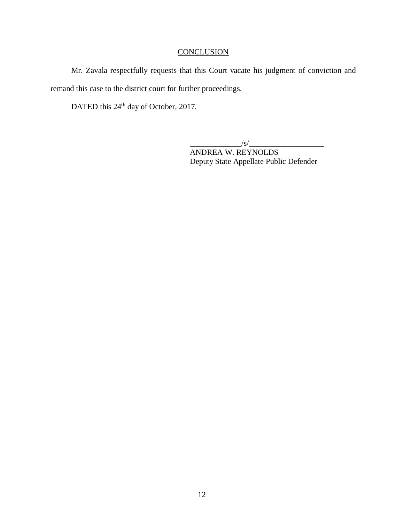# **CONCLUSION**

Mr. Zavala respectfully requests that this Court vacate his judgment of conviction and remand this case to the district court for further proceedings.

DATED this 24<sup>th</sup> day of October, 2017.

 $\frac{1}{s}$ 

ANDREA W. REYNOLDS Deputy State Appellate Public Defender